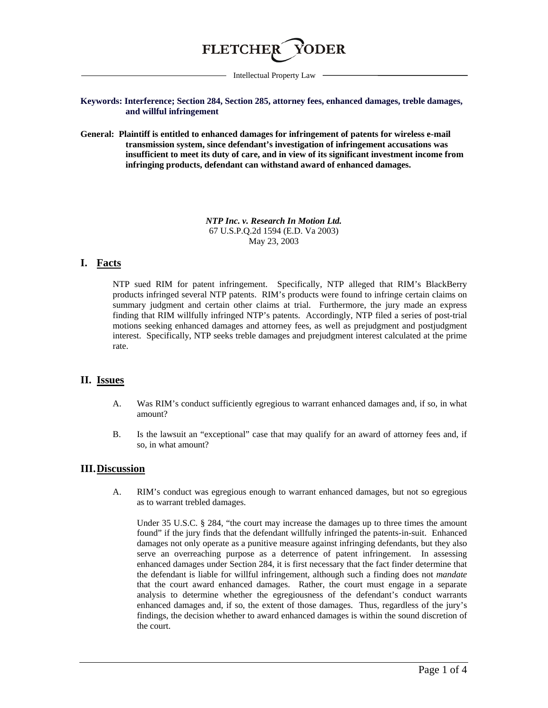

Intellectual Property Law

**Keywords: Interference; Section 284, Section 285, attorney fees, enhanced damages, treble damages, and willful infringement**

**General: Plaintiff is entitled to enhanced damages for infringement of patents for wireless e-mail transmission system, since defendant's investigation of infringement accusations was insufficient to meet its duty of care, and in view of its significant investment income from infringing products, defendant can withstand award of enhanced damages.** 

> *NTP Inc. v. Research In Motion Ltd.* 67 U.S.P.Q.2d 1594 (E.D. Va 2003) May 23, 2003

## **I. Facts**

NTP sued RIM for patent infringement. Specifically, NTP alleged that RIM's BlackBerry products infringed several NTP patents. RIM's products were found to infringe certain claims on summary judgment and certain other claims at trial. Furthermore, the jury made an express finding that RIM willfully infringed NTP's patents. Accordingly, NTP filed a series of post-trial motions seeking enhanced damages and attorney fees, as well as prejudgment and postjudgment interest. Specifically, NTP seeks treble damages and prejudgment interest calculated at the prime rate.

## **II. Issues**

- A. Was RIM's conduct sufficiently egregious to warrant enhanced damages and, if so, in what amount?
- B. Is the lawsuit an "exceptional" case that may qualify for an award of attorney fees and, if so, in what amount?

## **III.Discussion**

A. RIM's conduct was egregious enough to warrant enhanced damages, but not so egregious as to warrant trebled damages.

Under 35 U.S.C. § 284, "the court may increase the damages up to three times the amount found" if the jury finds that the defendant willfully infringed the patents-in-suit. Enhanced damages not only operate as a punitive measure against infringing defendants, but they also serve an overreaching purpose as a deterrence of patent infringement. In assessing enhanced damages under Section 284, it is first necessary that the fact finder determine that the defendant is liable for willful infringement, although such a finding does not *mandate* that the court award enhanced damages. Rather, the court must engage in a separate analysis to determine whether the egregiousness of the defendant's conduct warrants enhanced damages and, if so, the extent of those damages. Thus, regardless of the jury's findings, the decision whether to award enhanced damages is within the sound discretion of the court.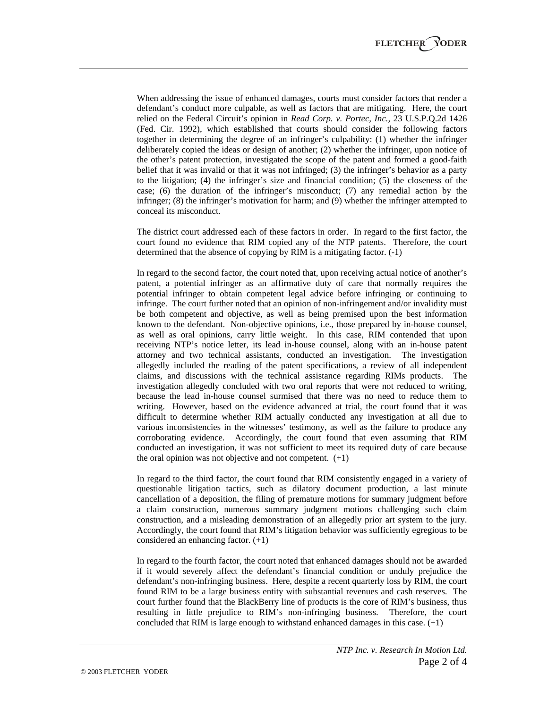When addressing the issue of enhanced damages, courts must consider factors that render a defendant's conduct more culpable, as well as factors that are mitigating. Here, the court relied on the Federal Circuit's opinion in *Read Corp. v. Portec, Inc.,* 23 U.S.P.Q.2d 1426 (Fed. Cir. 1992), which established that courts should consider the following factors together in determining the degree of an infringer's culpability: (1) whether the infringer deliberately copied the ideas or design of another; (2) whether the infringer, upon notice of the other's patent protection, investigated the scope of the patent and formed a good-faith belief that it was invalid or that it was not infringed; (3) the infringer's behavior as a party to the litigation; (4) the infringer's size and financial condition; (5) the closeness of the case; (6) the duration of the infringer's misconduct; (7) any remedial action by the infringer; (8) the infringer's motivation for harm; and (9) whether the infringer attempted to conceal its misconduct.

The district court addressed each of these factors in order. In regard to the first factor, the court found no evidence that RIM copied any of the NTP patents. Therefore, the court determined that the absence of copying by RIM is a mitigating factor. (-1)

In regard to the second factor, the court noted that, upon receiving actual notice of another's patent, a potential infringer as an affirmative duty of care that normally requires the potential infringer to obtain competent legal advice before infringing or continuing to infringe. The court further noted that an opinion of non-infringement and/or invalidity must be both competent and objective, as well as being premised upon the best information known to the defendant. Non-objective opinions, i.e., those prepared by in-house counsel, as well as oral opinions, carry little weight. In this case, RIM contended that upon receiving NTP's notice letter, its lead in-house counsel, along with an in-house patent attorney and two technical assistants, conducted an investigation. The investigation allegedly included the reading of the patent specifications, a review of all independent claims, and discussions with the technical assistance regarding RIMs products. The investigation allegedly concluded with two oral reports that were not reduced to writing, because the lead in-house counsel surmised that there was no need to reduce them to writing. However, based on the evidence advanced at trial, the court found that it was difficult to determine whether RIM actually conducted any investigation at all due to various inconsistencies in the witnesses' testimony, as well as the failure to produce any corroborating evidence. Accordingly, the court found that even assuming that RIM conducted an investigation, it was not sufficient to meet its required duty of care because the oral opinion was not objective and not competent.  $(+1)$ 

In regard to the third factor, the court found that RIM consistently engaged in a variety of questionable litigation tactics, such as dilatory document production, a last minute cancellation of a deposition, the filing of premature motions for summary judgment before a claim construction, numerous summary judgment motions challenging such claim construction, and a misleading demonstration of an allegedly prior art system to the jury. Accordingly, the court found that RIM's litigation behavior was sufficiently egregious to be considered an enhancing factor. (+1)

In regard to the fourth factor, the court noted that enhanced damages should not be awarded if it would severely affect the defendant's financial condition or unduly prejudice the defendant's non-infringing business. Here, despite a recent quarterly loss by RIM, the court found RIM to be a large business entity with substantial revenues and cash reserves. The court further found that the BlackBerry line of products is the core of RIM's business, thus resulting in little prejudice to RIM's non-infringing business. Therefore, the court concluded that RIM is large enough to withstand enhanced damages in this case. (+1)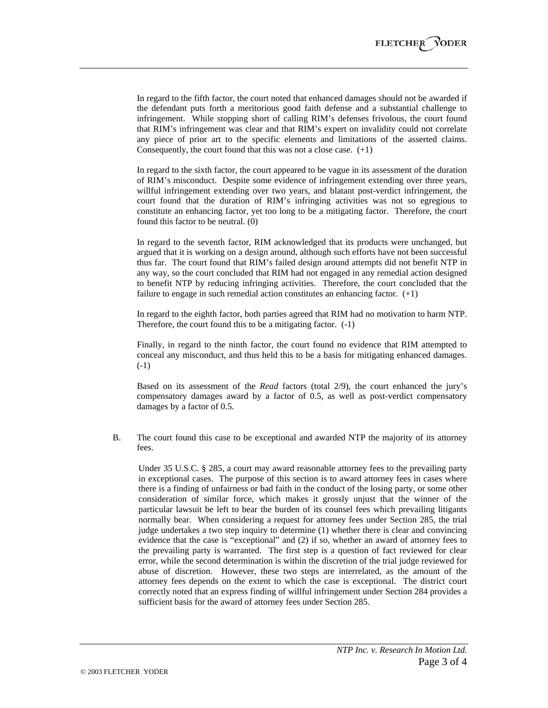In regard to the fifth factor, the court noted that enhanced damages should not be awarded if the defendant puts forth a meritorious good faith defense and a substantial challenge to infringement. While stopping short of calling RIM's defenses frivolous, the court found that RIM's infringement was clear and that RIM's expert on invalidity could not correlate any piece of prior art to the specific elements and limitations of the asserted claims. Consequently, the court found that this was not a close case.  $(+1)$ 

In regard to the sixth factor, the court appeared to be vague in its assessment of the duration of RIM's misconduct. Despite some evidence of infringement extending over three years, willful infringement extending over two years, and blatant post-verdict infringement, the court found that the duration of RIM's infringing activities was not so egregious to constitute an enhancing factor, yet too long to be a mitigating factor. Therefore, the court found this factor to be neutral. (0)

In regard to the seventh factor, RIM acknowledged that its products were unchanged, but argued that it is working on a design around, although such efforts have not been successful thus far. The court found that RIM's failed design around attempts did not benefit NTP in any way, so the court concluded that RIM had not engaged in any remedial action designed to benefit NTP by reducing infringing activities. Therefore, the court concluded that the failure to engage in such remedial action constitutes an enhancing factor.  $(+1)$ 

In regard to the eighth factor, both parties agreed that RIM had no motivation to harm NTP. Therefore, the court found this to be a mitigating factor. (-1)

Finally, in regard to the ninth factor, the court found no evidence that RIM attempted to conceal any misconduct, and thus held this to be a basis for mitigating enhanced damages. (-1)

Based on its assessment of the *Read* factors (total 2/9), the court enhanced the jury's compensatory damages award by a factor of 0.5, as well as post-verdict compensatory damages by a factor of 0.5.

B. The court found this case to be exceptional and awarded NTP the majority of its attorney fees.

Under 35 U.S.C. § 285, a court may award reasonable attorney fees to the prevailing party in exceptional cases. The purpose of this section is to award attorney fees in cases where there is a finding of unfairness or bad faith in the conduct of the losing party, or some other consideration of similar force, which makes it grossly unjust that the winner of the particular lawsuit be left to bear the burden of its counsel fees which prevailing litigants normally bear. When considering a request for attorney fees under Section 285, the trial judge undertakes a two step inquiry to determine (1) whether there is clear and convincing evidence that the case is "exceptional" and (2) if so, whether an award of attorney fees to the prevailing party is warranted. The first step is a question of fact reviewed for clear error, while the second determination is within the discretion of the trial judge reviewed for abuse of discretion. However, these two steps are interrelated, as the amount of the attorney fees depends on the extent to which the case is exceptional. The district court correctly noted that an express finding of willful infringement under Section 284 provides a sufficient basis for the award of attorney fees under Section 285.